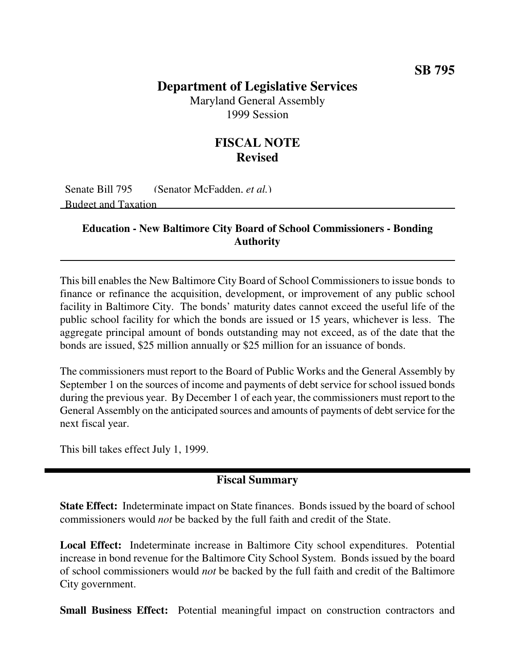### **Department of Legislative Services**

Maryland General Assembly 1999 Session

## **FISCAL NOTE Revised**

Senate Bill 795 (Senator McFadden, *et al.*) Budget and Taxation

#### **Education - New Baltimore City Board of School Commissioners - Bonding Authority**

This bill enables the New Baltimore City Board of School Commissioners to issue bonds to finance or refinance the acquisition, development, or improvement of any public school facility in Baltimore City. The bonds' maturity dates cannot exceed the useful life of the public school facility for which the bonds are issued or 15 years, whichever is less. The aggregate principal amount of bonds outstanding may not exceed, as of the date that the bonds are issued, \$25 million annually or \$25 million for an issuance of bonds.

The commissioners must report to the Board of Public Works and the General Assembly by September 1 on the sources of income and payments of debt service for school issued bonds during the previous year. By December 1 of each year, the commissioners must report to the General Assembly on the anticipated sources and amounts of payments of debt service for the next fiscal year.

This bill takes effect July 1, 1999.

#### **Fiscal Summary**

**State Effect:** Indeterminate impact on State finances. Bonds issued by the board of school commissioners would *not* be backed by the full faith and credit of the State.

**Local Effect:** Indeterminate increase in Baltimore City school expenditures. Potential increase in bond revenue for the Baltimore City School System. Bonds issued by the board of school commissioners would *not* be backed by the full faith and credit of the Baltimore City government.

**Small Business Effect:** Potential meaningful impact on construction contractors and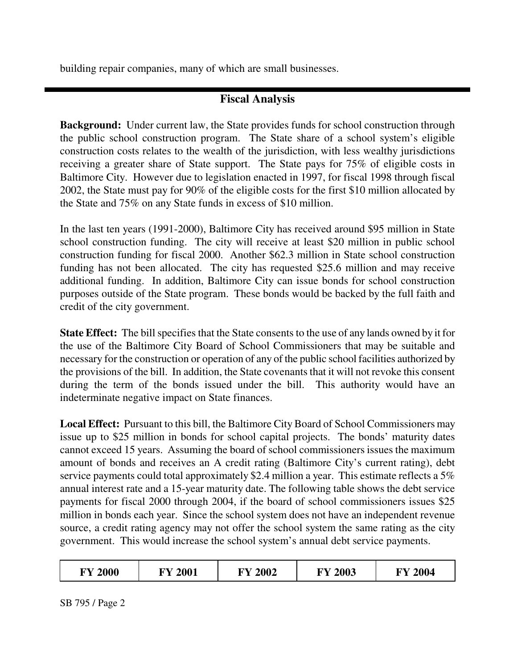building repair companies, many of which are small businesses.

# **Fiscal Analysis**

**Background:** Under current law, the State provides funds for school construction through the public school construction program. The State share of a school system's eligible construction costs relates to the wealth of the jurisdiction, with less wealthy jurisdictions receiving a greater share of State support. The State pays for 75% of eligible costs in Baltimore City. However due to legislation enacted in 1997, for fiscal 1998 through fiscal 2002, the State must pay for 90% of the eligible costs for the first \$10 million allocated by the State and 75% on any State funds in excess of \$10 million.

In the last ten years (1991-2000), Baltimore City has received around \$95 million in State school construction funding. The city will receive at least \$20 million in public school construction funding for fiscal 2000. Another \$62.3 million in State school construction funding has not been allocated. The city has requested \$25.6 million and may receive additional funding. In addition, Baltimore City can issue bonds for school construction purposes outside of the State program. These bonds would be backed by the full faith and credit of the city government.

**State Effect:** The bill specifies that the State consents to the use of any lands owned by it for the use of the Baltimore City Board of School Commissioners that may be suitable and necessary for the construction or operation of any of the public school facilities authorized by the provisions of the bill. In addition, the State covenants that it will not revoke this consent during the term of the bonds issued under the bill. This authority would have an indeterminate negative impact on State finances.

Local Effect: Pursuant to this bill, the Baltimore City Board of School Commissioners may issue up to \$25 million in bonds for school capital projects. The bonds' maturity dates cannot exceed 15 years. Assuming the board of school commissioners issues the maximum amount of bonds and receives an A credit rating (Baltimore City's current rating), debt service payments could total approximately \$2.4 million a year. This estimate reflects a 5% annual interest rate and a 15-year maturity date. The following table shows the debt service payments for fiscal 2000 through 2004, if the board of school commissioners issues \$25 million in bonds each year. Since the school system does not have an independent revenue source, a credit rating agency may not offer the school system the same rating as the city government. This would increase the school system's annual debt service payments.

| 2000<br>2002<br>2001<br><b>INV</b><br>ГV.<br>ГV | 2003<br>FV | 2004<br>ГV |
|-------------------------------------------------|------------|------------|
|-------------------------------------------------|------------|------------|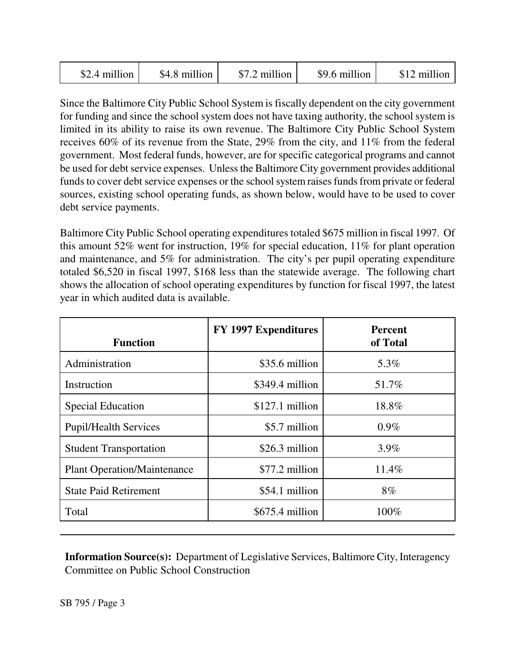| \$2.4 million | \$4.8 million | \$7.2 million | \$9.6 million | \$12 million |
|---------------|---------------|---------------|---------------|--------------|
|---------------|---------------|---------------|---------------|--------------|

Since the Baltimore City Public School System is fiscally dependent on the city government for funding and since the school system does not have taxing authority, the school system is limited in its ability to raise its own revenue. The Baltimore City Public School System receives 60% of its revenue from the State, 29% from the city, and 11% from the federal government. Most federal funds, however, are for specific categorical programs and cannot be used for debt service expenses. Unless the Baltimore City government provides additional funds to cover debt service expenses or the school system raises funds from private or federal sources, existing school operating funds, as shown below, would have to be used to cover debt service payments.

Baltimore City Public School operating expenditures totaled \$675 million in fiscal 1997. Of this amount 52% went for instruction, 19% for special education, 11% for plant operation and maintenance, and 5% for administration. The city's per pupil operating expenditure totaled \$6,520 in fiscal 1997, \$168 less than the statewide average. The following chart shows the allocation of school operating expenditures by function for fiscal 1997, the latest year in which audited data is available.

| <b>Function</b>                    | <b>FY 1997 Expenditures</b> | <b>Percent</b><br>of Total |
|------------------------------------|-----------------------------|----------------------------|
| Administration                     | \$35.6 million              | 5.3%                       |
| Instruction                        | \$349.4 million             | 51.7%                      |
| <b>Special Education</b>           | $$127.1$ million            | 18.8%                      |
| <b>Pupil/Health Services</b>       | \$5.7 million               | $0.9\%$                    |
| <b>Student Transportation</b>      | \$26.3 million              | 3.9%                       |
| <b>Plant Operation/Maintenance</b> | \$77.2 million              | 11.4%                      |
| <b>State Paid Retirement</b>       | \$54.1 million              | 8%                         |
| Total                              | $$675.4$ million            | 100%                       |

**Information Source(s):** Department of Legislative Services, Baltimore City, Interagency Committee on Public School Construction